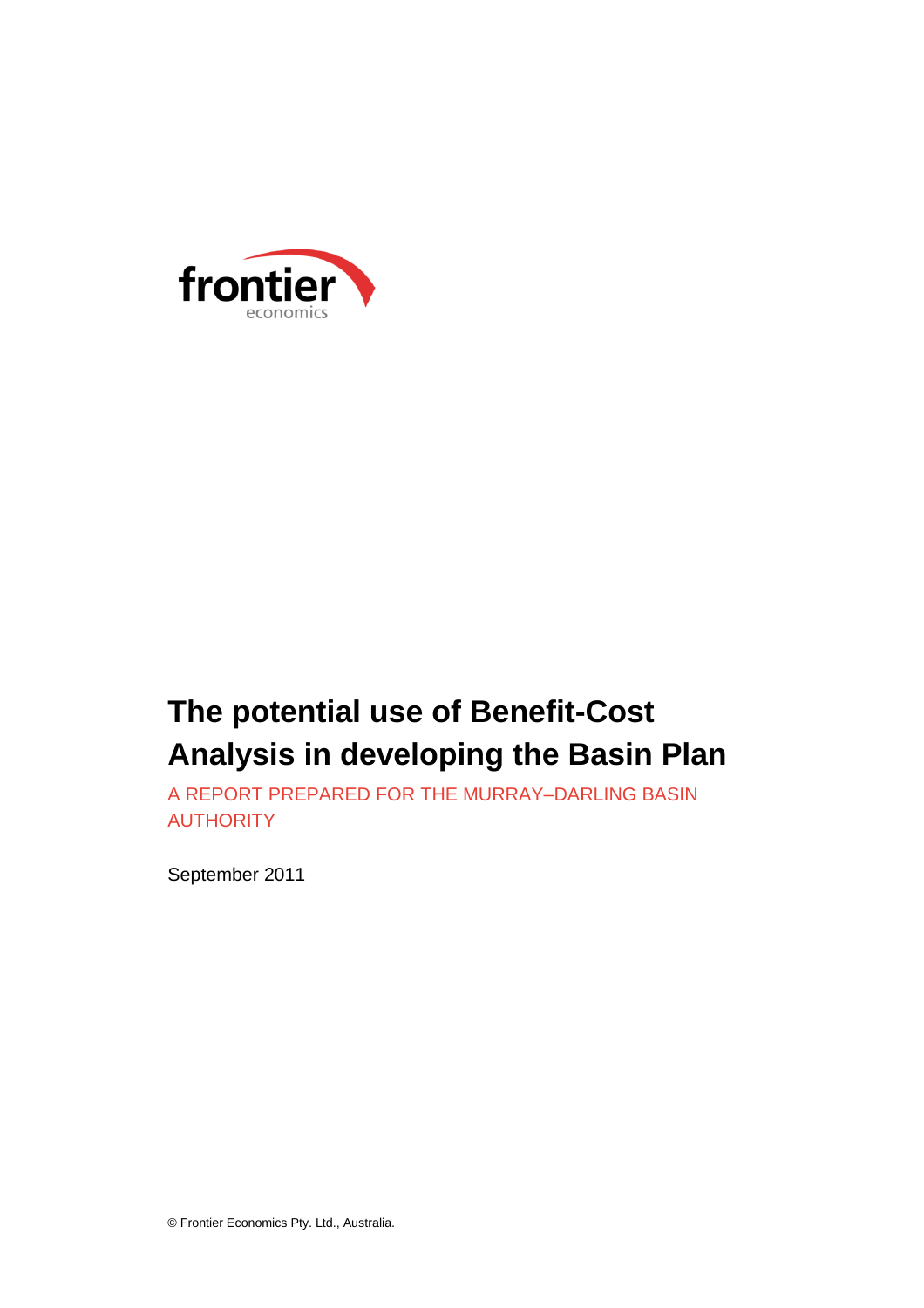

# **The potential use of Benefit-Cost Analysis in developing the Basin Plan**

A REPORT PREPARED FOR THE MURRAY–DARLING BASIN **AUTHORITY** 

September 2011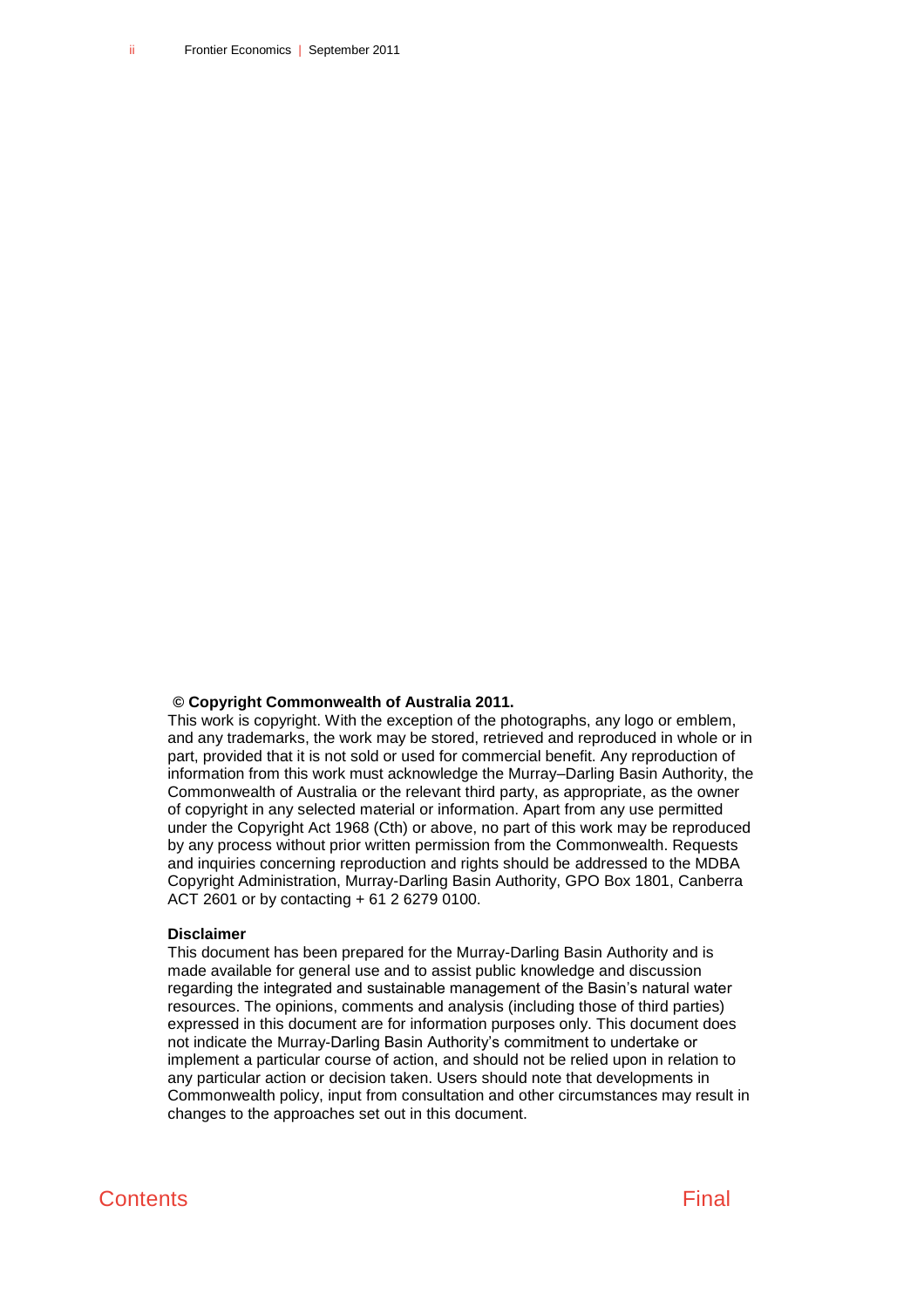#### **© Copyright Commonwealth of Australia 2011.**

This work is copyright. With the exception of the photographs, any logo or emblem, and any trademarks, the work may be stored, retrieved and reproduced in whole or in part, provided that it is not sold or used for commercial benefit. Any reproduction of information from this work must acknowledge the Murray–Darling Basin Authority, the Commonwealth of Australia or the relevant third party, as appropriate, as the owner of copyright in any selected material or information. Apart from any use permitted under the Copyright Act 1968 (Cth) or above, no part of this work may be reproduced by any process without prior written permission from the Commonwealth. Requests and inquiries concerning reproduction and rights should be addressed to the MDBA Copyright Administration, Murray-Darling Basin Authority, GPO Box 1801, Canberra ACT 2601 or by contacting + 61 2 6279 0100.

#### **Disclaimer**

This document has been prepared for the Murray-Darling Basin Authority and is made available for general use and to assist public knowledge and discussion regarding the integrated and sustainable management of the Basin's natural water resources. The opinions, comments and analysis (including those of third parties) expressed in this document are for information purposes only. This document does not indicate the Murray-Darling Basin Authority's commitment to undertake or implement a particular course of action, and should not be relied upon in relation to any particular action or decision taken. Users should note that developments in Commonwealth policy, input from consultation and other circumstances may result in changes to the approaches set out in this document.

## **Contents Final**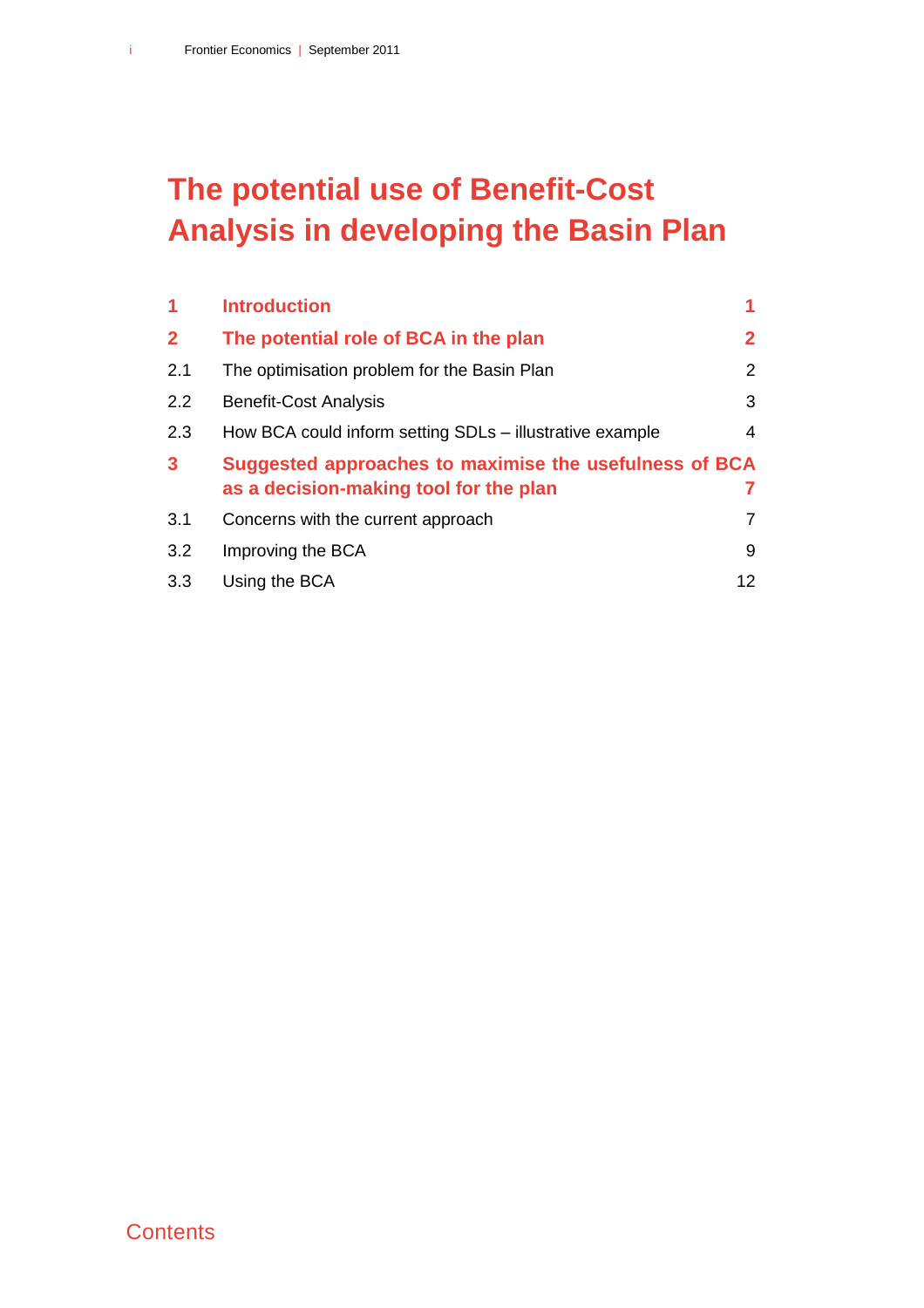# **The potential use of Benefit-Cost Analysis in developing the Basin Plan**

| $\overline{1}$ | <b>Introduction</b>                                                                              |                |
|----------------|--------------------------------------------------------------------------------------------------|----------------|
| $\overline{2}$ | The potential role of BCA in the plan                                                            | $\mathbf{2}$   |
| 2.1            | The optimisation problem for the Basin Plan                                                      | $\overline{2}$ |
| 2.2            | <b>Benefit-Cost Analysis</b>                                                                     | 3              |
| 2.3            | How BCA could inform setting SDLs - illustrative example                                         | 4              |
| $\mathbf{3}$   | Suggested approaches to maximise the usefulness of BCA<br>as a decision-making tool for the plan |                |
| 3.1            | Concerns with the current approach                                                               | 7              |
| 3.2            | Improving the BCA                                                                                | 9              |
| 3.3            | Using the BCA                                                                                    | 12             |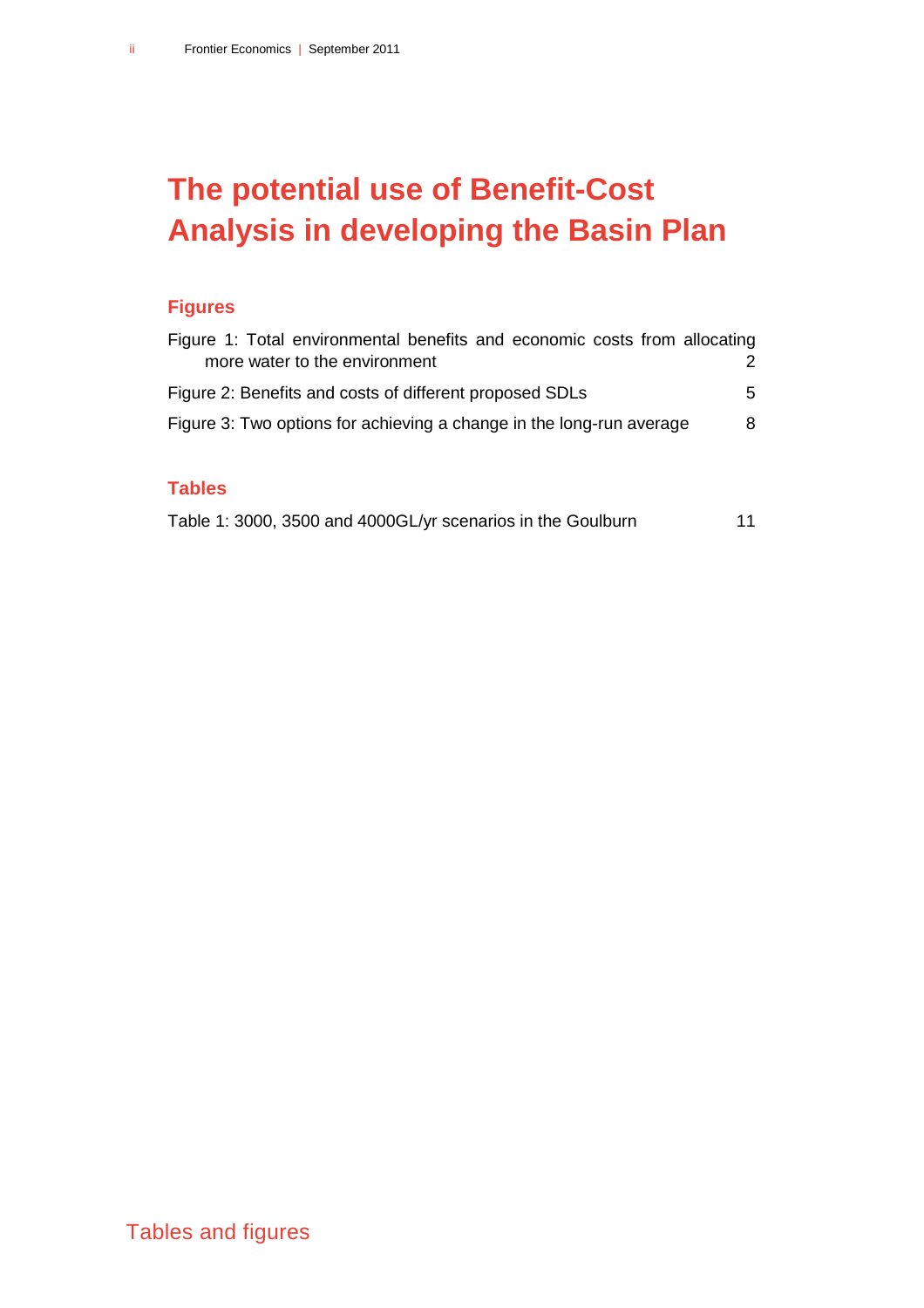# **The potential use of Benefit-Cost Analysis in developing the Basin Plan**

## **Figures**

| Figure 1: Total environmental benefits and economic costs from allocating |   |
|---------------------------------------------------------------------------|---|
| more water to the environment                                             |   |
| Figure 2: Benefits and costs of different proposed SDLs                   | 5 |
| Figure 3: Two options for achieving a change in the long-run average      | 8 |
|                                                                           |   |

## **Tables**

| Table 1: 3000, 3500 and 4000GL/yr scenarios in the Goulburn |  |  |  | 11 |
|-------------------------------------------------------------|--|--|--|----|
|-------------------------------------------------------------|--|--|--|----|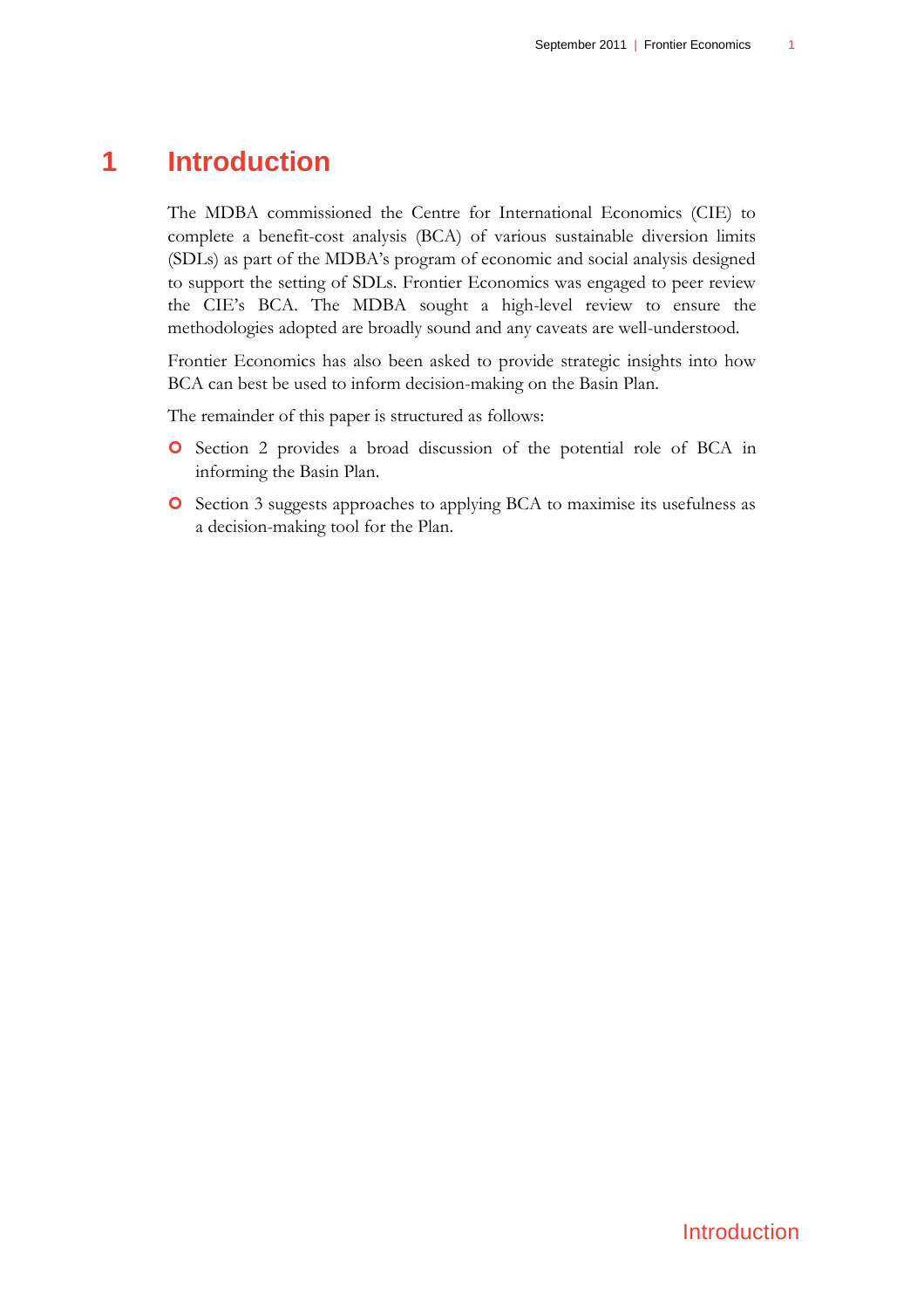## **1 Introduction**

<span id="page-4-0"></span>The MDBA commissioned the Centre for International Economics (CIE) to complete a benefit-cost analysis (BCA) of various sustainable diversion limits (SDLs) as part of the MDBA"s program of economic and social analysis designed to support the setting of SDLs. Frontier Economics was engaged to peer review the CIE"s BCA. The MDBA sought a high-level review to ensure the methodologies adopted are broadly sound and any caveats are well-understood.

Frontier Economics has also been asked to provide strategic insights into how BCA can best be used to inform decision-making on the Basin Plan.

The remainder of this paper is structured as follows:

- **O** Section 2 provides a broad discussion of the potential role of BCA in informing the Basin Plan.
- **O** Section 3 suggests approaches to applying BCA to maximise its usefulness as a decision-making tool for the Plan.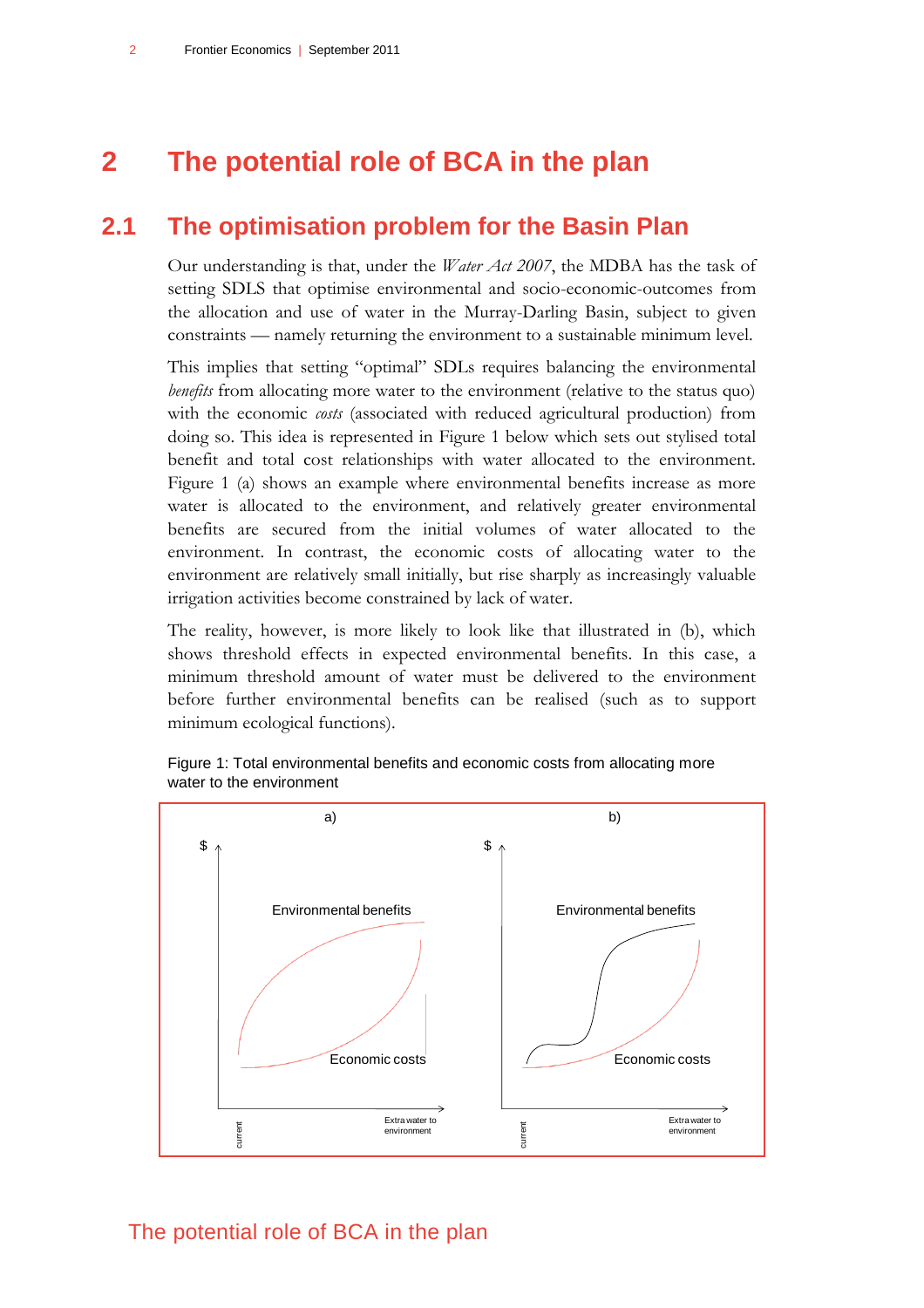## <span id="page-5-0"></span>**2 The potential role of BCA in the plan**

## **2.1 The optimisation problem for the Basin Plan**

<span id="page-5-1"></span>Our understanding is that, under the *Water Act 2007*, the MDBA has the task of setting SDLS that optimise environmental and socio-economic-outcomes from the allocation and use of water in the Murray-Darling Basin, subject to given constraints — namely returning the environment to a sustainable minimum level.

This implies that setting "optimal" SDLs requires balancing the environmental *benefits* from allocating more water to the environment (relative to the status quo) with the economic *costs* (associated with reduced agricultural production) from doing so. This idea is represented in [Figure 1](#page-5-2) below which sets out stylised total benefit and total cost relationships with water allocated to the environment. Figure 1 (a) shows an example where environmental benefits increase as more water is allocated to the environment, and relatively greater environmental benefits are secured from the initial volumes of water allocated to the environment. In contrast, the economic costs of allocating water to the environment are relatively small initially, but rise sharply as increasingly valuable irrigation activities become constrained by lack of water.

The reality, however, is more likely to look like that illustrated in (b), which shows threshold effects in expected environmental benefits. In this case, a minimum threshold amount of water must be delivered to the environment before further environmental benefits can be realised (such as to support minimum ecological functions).



<span id="page-5-2"></span>Figure 1: Total environmental benefits and economic costs from allocating more water to the environment

## The potential role of BCA in the plan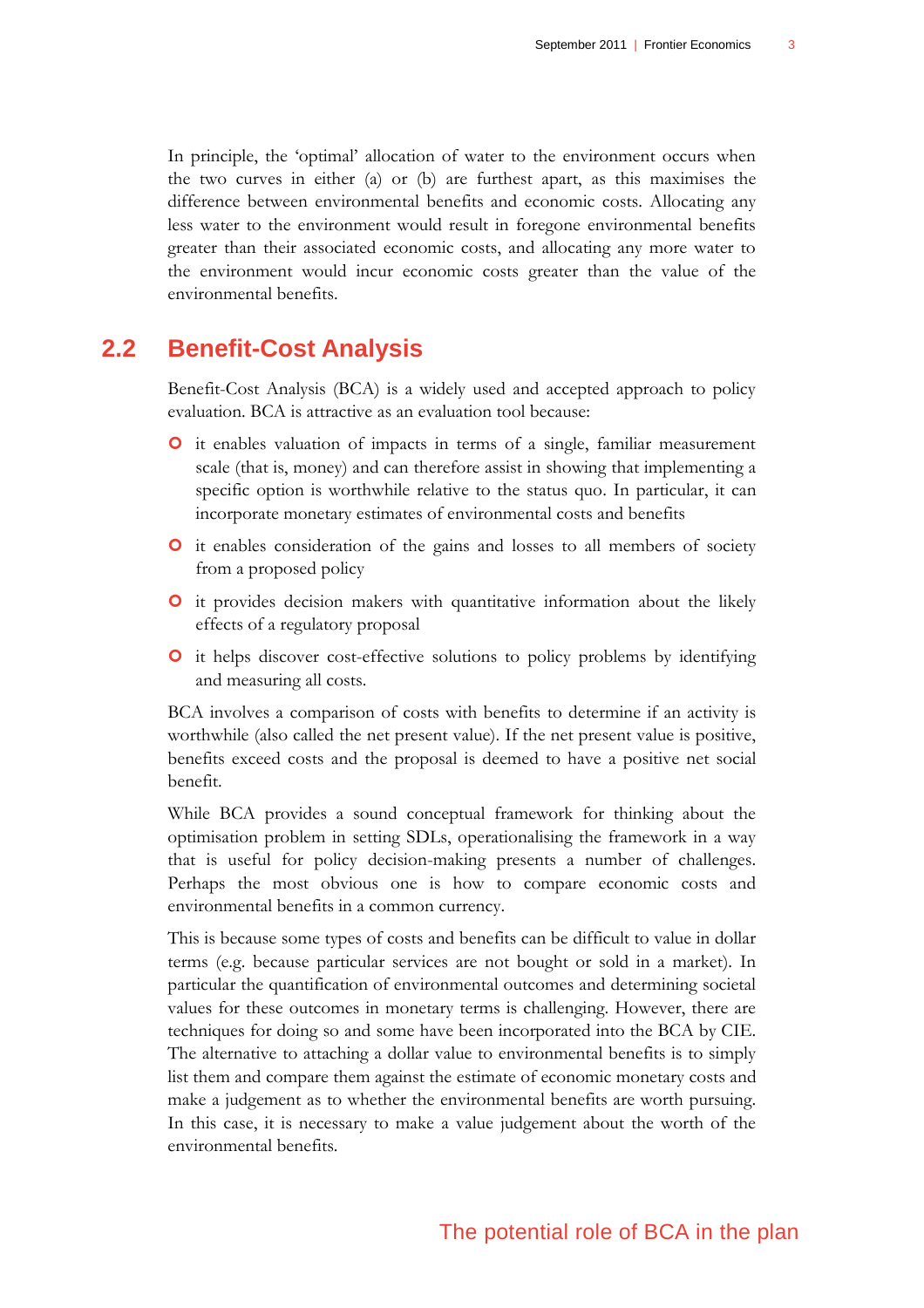In principle, the "optimal" allocation of water to the environment occurs when the two curves in either (a) or (b) are furthest apart, as this maximises the difference between environmental benefits and economic costs. Allocating any less water to the environment would result in foregone environmental benefits greater than their associated economic costs, and allocating any more water to the environment would incur economic costs greater than the value of the environmental benefits.

## **2.2 Benefit-Cost Analysis**

<span id="page-6-0"></span>Benefit-Cost Analysis (BCA) is a widely used and accepted approach to policy evaluation. BCA is attractive as an evaluation tool because:

- it enables valuation of impacts in terms of a single, familiar measurement scale (that is, money) and can therefore assist in showing that implementing a specific option is worthwhile relative to the status quo. In particular, it can incorporate monetary estimates of environmental costs and benefits
- **O** it enables consideration of the gains and losses to all members of society from a proposed policy
- **O** it provides decision makers with quantitative information about the likely effects of a regulatory proposal
- it helps discover cost-effective solutions to policy problems by identifying and measuring all costs.

BCA involves a comparison of costs with benefits to determine if an activity is worthwhile (also called the net present value). If the net present value is positive, benefits exceed costs and the proposal is deemed to have a positive net social benefit.

While BCA provides a sound conceptual framework for thinking about the optimisation problem in setting SDLs, operationalising the framework in a way that is useful for policy decision-making presents a number of challenges. Perhaps the most obvious one is how to compare economic costs and environmental benefits in a common currency.

This is because some types of costs and benefits can be difficult to value in dollar terms (e.g. because particular services are not bought or sold in a market). In particular the quantification of environmental outcomes and determining societal values for these outcomes in monetary terms is challenging. However, there are techniques for doing so and some have been incorporated into the BCA by CIE. The alternative to attaching a dollar value to environmental benefits is to simply list them and compare them against the estimate of economic monetary costs and make a judgement as to whether the environmental benefits are worth pursuing. In this case, it is necessary to make a value judgement about the worth of the environmental benefits.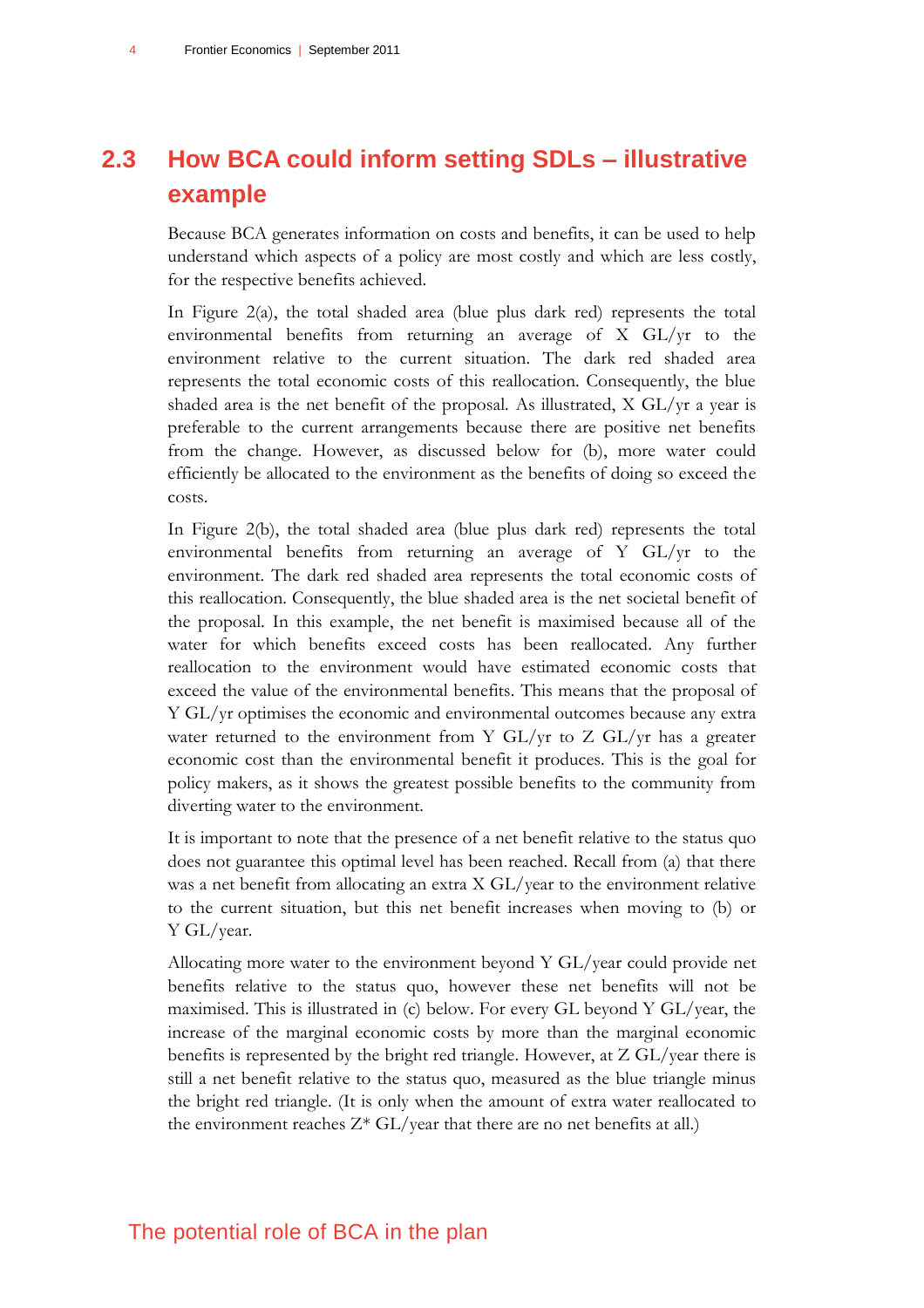## <span id="page-7-0"></span>**2.3 How BCA could inform setting SDLs – illustrative example**

Because BCA generates information on costs and benefits, it can be used to help understand which aspects of a policy are most costly and which are less costly, for the respective benefits achieved.

In [Figure 2\(](#page-8-0)a), the total shaded area (blue plus dark red) represents the total environmental benefits from returning an average of X GL/yr to the environment relative to the current situation. The dark red shaded area represents the total economic costs of this reallocation. Consequently, the blue shaded area is the net benefit of the proposal. As illustrated, X GL/yr a year is preferable to the current arrangements because there are positive net benefits from the change. However, as discussed below for (b), more water could efficiently be allocated to the environment as the benefits of doing so exceed the costs.

In [Figure 2\(](#page-8-0)b), the total shaded area (blue plus dark red) represents the total environmental benefits from returning an average of Y GL/yr to the environment. The dark red shaded area represents the total economic costs of this reallocation. Consequently, the blue shaded area is the net societal benefit of the proposal. In this example, the net benefit is maximised because all of the water for which benefits exceed costs has been reallocated. Any further reallocation to the environment would have estimated economic costs that exceed the value of the environmental benefits. This means that the proposal of Y GL/yr optimises the economic and environmental outcomes because any extra water returned to the environment from Y GL/yr to Z GL/yr has a greater economic cost than the environmental benefit it produces. This is the goal for policy makers, as it shows the greatest possible benefits to the community from diverting water to the environment.

It is important to note that the presence of a net benefit relative to the status quo does not guarantee this optimal level has been reached. Recall from (a) that there was a net benefit from allocating an extra X GL/year to the environment relative to the current situation, but this net benefit increases when moving to (b) or Y GL/year.

Allocating more water to the environment beyond Y GL/year could provide net benefits relative to the status quo, however these net benefits will not be maximised. This is illustrated in (c) below. For every GL beyond Y GL/year, the increase of the marginal economic costs by more than the marginal economic benefits is represented by the bright red triangle. However, at Z GL/year there is still a net benefit relative to the status quo, measured as the blue triangle minus the bright red triangle. (It is only when the amount of extra water reallocated to the environment reaches  $Z^*$  GL/year that there are no net benefits at all.)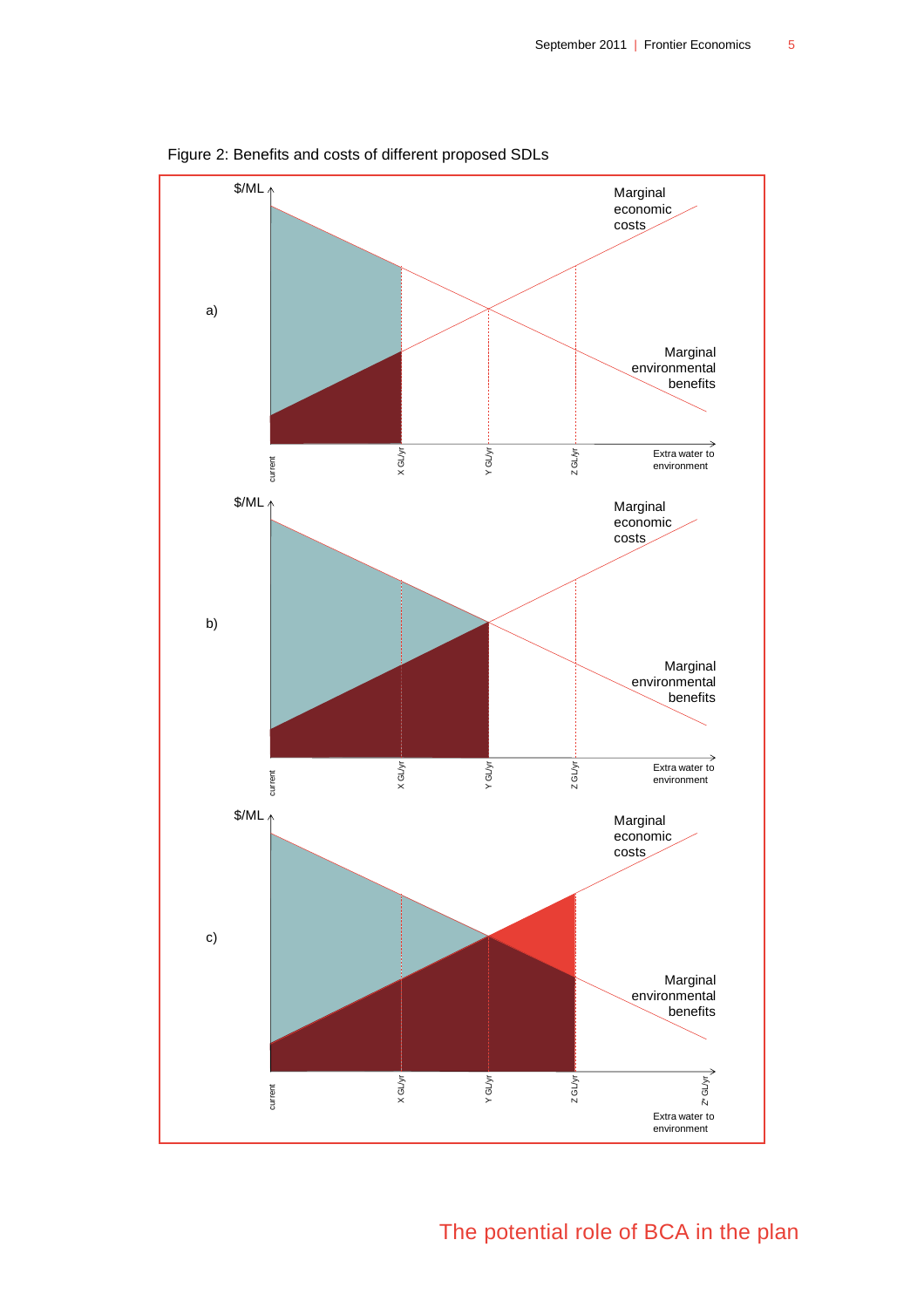

<span id="page-8-0"></span>Figure 2: Benefits and costs of different proposed SDLs

The potential role of BCA in the plan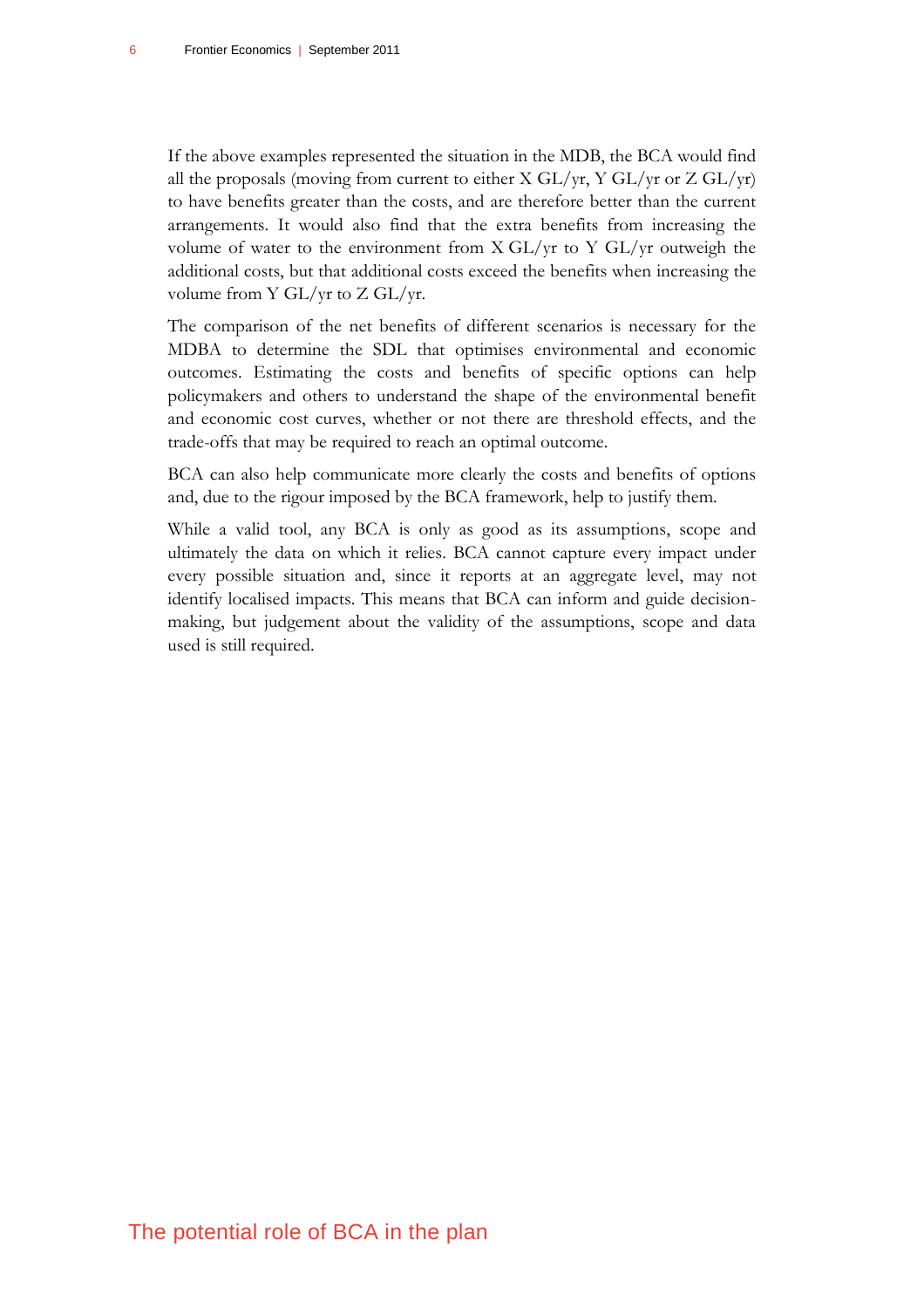If the above examples represented the situation in the MDB, the BCA would find all the proposals (moving from current to either X GL/yr, Y GL/yr or Z GL/yr) to have benefits greater than the costs, and are therefore better than the current arrangements. It would also find that the extra benefits from increasing the volume of water to the environment from  $X \frac{GL}{yr}$  to  $Y \frac{GL}{yr}$  outweigh the additional costs, but that additional costs exceed the benefits when increasing the volume from Y GL/yr to Z GL/yr.

The comparison of the net benefits of different scenarios is necessary for the MDBA to determine the SDL that optimises environmental and economic outcomes. Estimating the costs and benefits of specific options can help policymakers and others to understand the shape of the environmental benefit and economic cost curves, whether or not there are threshold effects, and the trade-offs that may be required to reach an optimal outcome.

BCA can also help communicate more clearly the costs and benefits of options and, due to the rigour imposed by the BCA framework, help to justify them.

While a valid tool, any BCA is only as good as its assumptions, scope and ultimately the data on which it relies. BCA cannot capture every impact under every possible situation and, since it reports at an aggregate level, may not identify localised impacts. This means that BCA can inform and guide decisionmaking, but judgement about the validity of the assumptions, scope and data used is still required.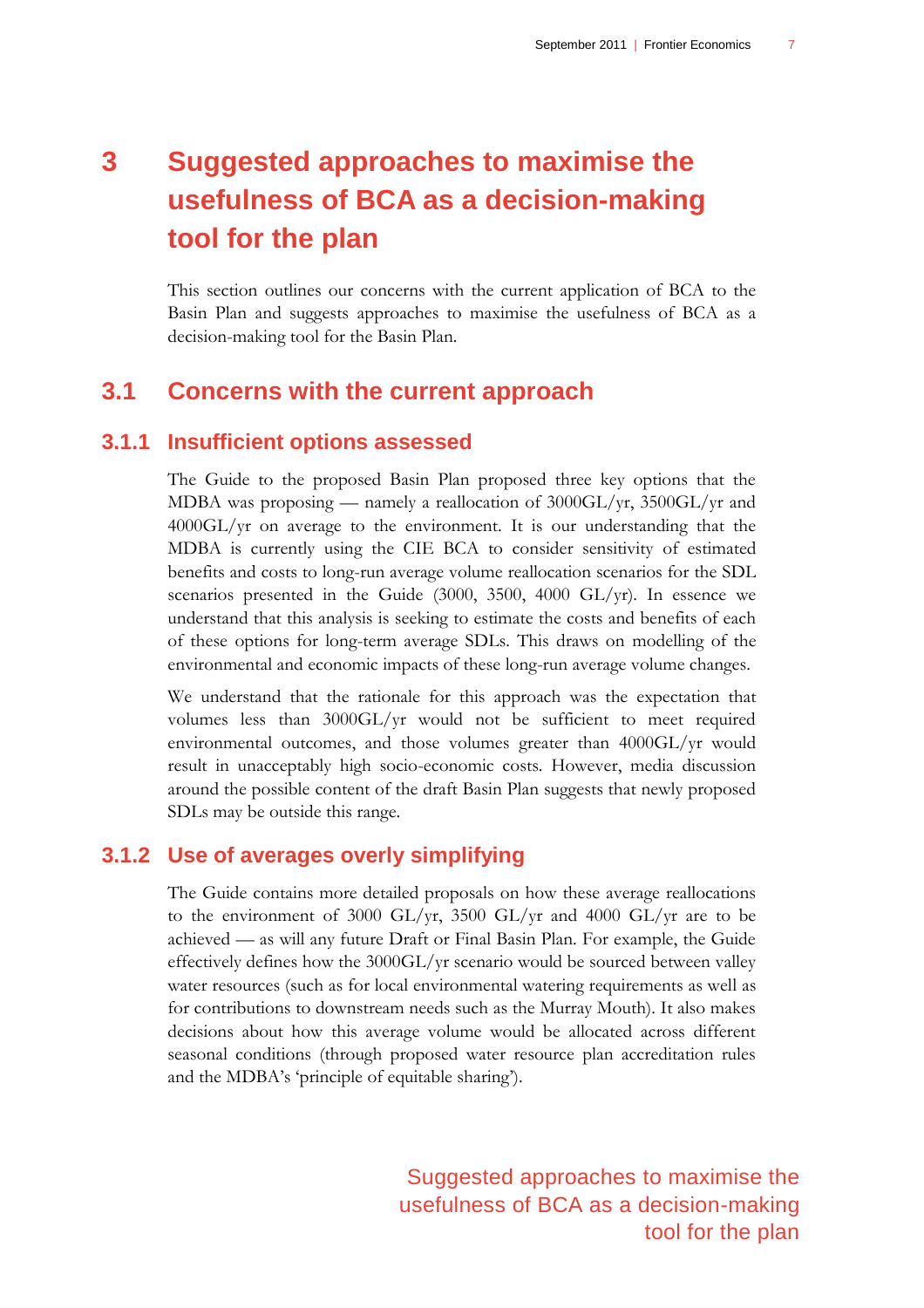## <span id="page-10-0"></span>**3 Suggested approaches to maximise the usefulness of BCA as a decision-making tool for the plan**

This section outlines our concerns with the current application of BCA to the Basin Plan and suggests approaches to maximise the usefulness of BCA as a decision-making tool for the Basin Plan.

## <span id="page-10-1"></span>**3.1 Concerns with the current approach**

### **3.1.1 Insufficient options assessed**

The Guide to the proposed Basin Plan proposed three key options that the MDBA was proposing — namely a reallocation of 3000GL/yr, 3500GL/yr and 4000GL/yr on average to the environment. It is our understanding that the MDBA is currently using the CIE BCA to consider sensitivity of estimated benefits and costs to long-run average volume reallocation scenarios for the SDL scenarios presented in the Guide (3000, 3500, 4000 GL/yr). In essence we understand that this analysis is seeking to estimate the costs and benefits of each of these options for long-term average SDLs. This draws on modelling of the environmental and economic impacts of these long-run average volume changes.

We understand that the rationale for this approach was the expectation that volumes less than 3000GL/yr would not be sufficient to meet required environmental outcomes, and those volumes greater than 4000GL/yr would result in unacceptably high socio-economic costs. However, media discussion around the possible content of the draft Basin Plan suggests that newly proposed SDLs may be outside this range.

#### **3.1.2 Use of averages overly simplifying**

The Guide contains more detailed proposals on how these average reallocations to the environment of 3000 GL/yr, 3500 GL/yr and 4000 GL/yr are to be achieved — as will any future Draft or Final Basin Plan. For example, the Guide effectively defines how the 3000GL/yr scenario would be sourced between valley water resources (such as for local environmental watering requirements as well as for contributions to downstream needs such as the Murray Mouth). It also makes decisions about how this average volume would be allocated across different seasonal conditions (through proposed water resource plan accreditation rules and the MDBA's 'principle of equitable sharing').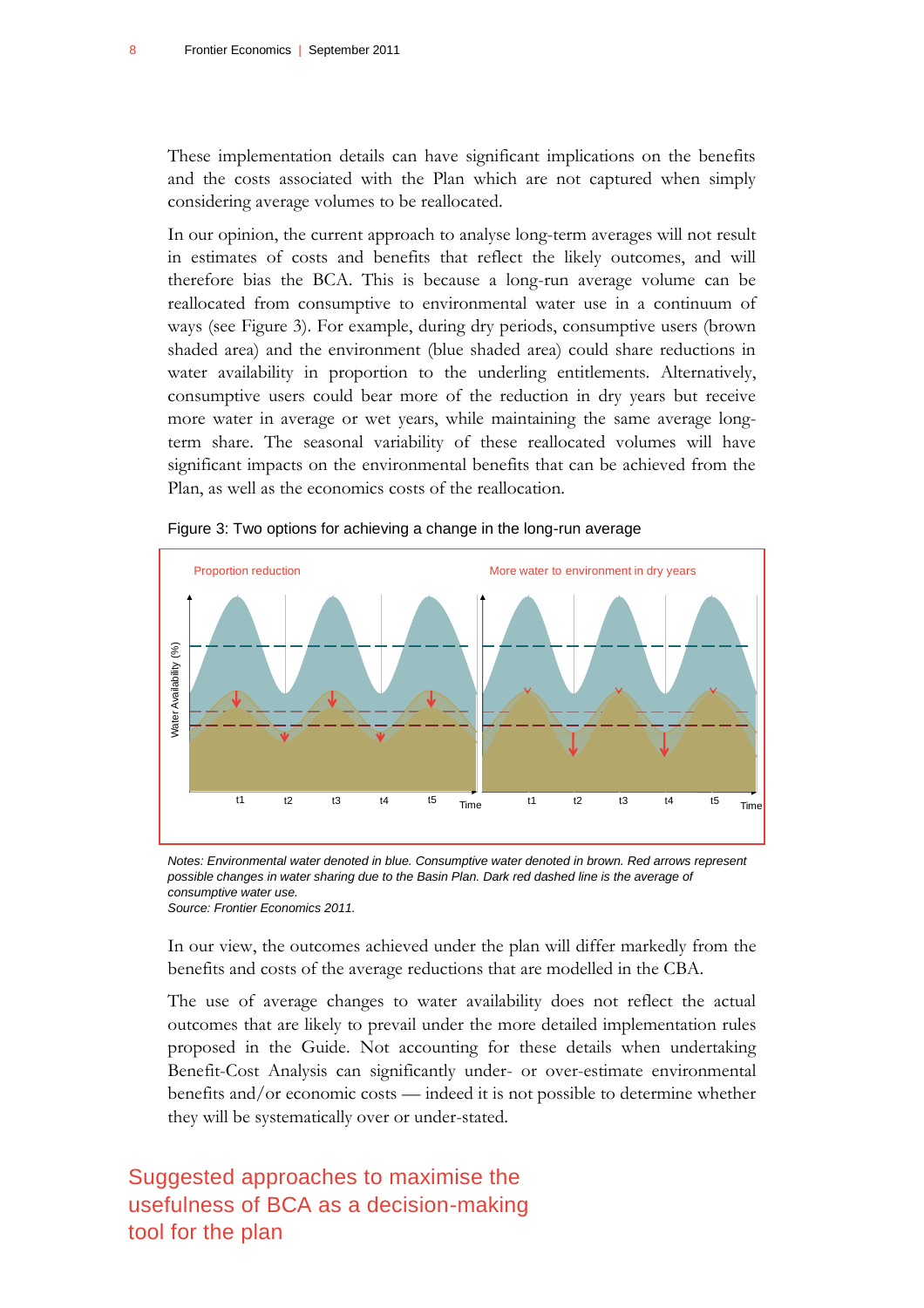These implementation details can have significant implications on the benefits and the costs associated with the Plan which are not captured when simply considering average volumes to be reallocated.

In our opinion, the current approach to analyse long-term averages will not result in estimates of costs and benefits that reflect the likely outcomes, and will therefore bias the BCA. This is because a long-run average volume can be reallocated from consumptive to environmental water use in a continuum of ways (see [Figure 3\)](#page-11-0). For example, during dry periods, consumptive users (brown shaded area) and the environment (blue shaded area) could share reductions in water availability in proportion to the underling entitlements. Alternatively, consumptive users could bear more of the reduction in dry years but receive more water in average or wet years, while maintaining the same average longterm share. The seasonal variability of these reallocated volumes will have significant impacts on the environmental benefits that can be achieved from the Plan, as well as the economics costs of the reallocation.



<span id="page-11-0"></span>Figure 3: Two options for achieving a change in the long-run average

*Notes: Environmental water denoted in blue. Consumptive water denoted in brown. Red arrows represent possible changes in water sharing due to the Basin Plan. Dark red dashed line is the average of consumptive water use. Source: Frontier Economics 2011.*

In our view, the outcomes achieved under the plan will differ markedly from the benefits and costs of the average reductions that are modelled in the CBA.

The use of average changes to water availability does not reflect the actual outcomes that are likely to prevail under the more detailed implementation rules proposed in the Guide. Not accounting for these details when undertaking Benefit-Cost Analysis can significantly under- or over-estimate environmental benefits and/or economic costs — indeed it is not possible to determine whether they will be systematically over or under-stated.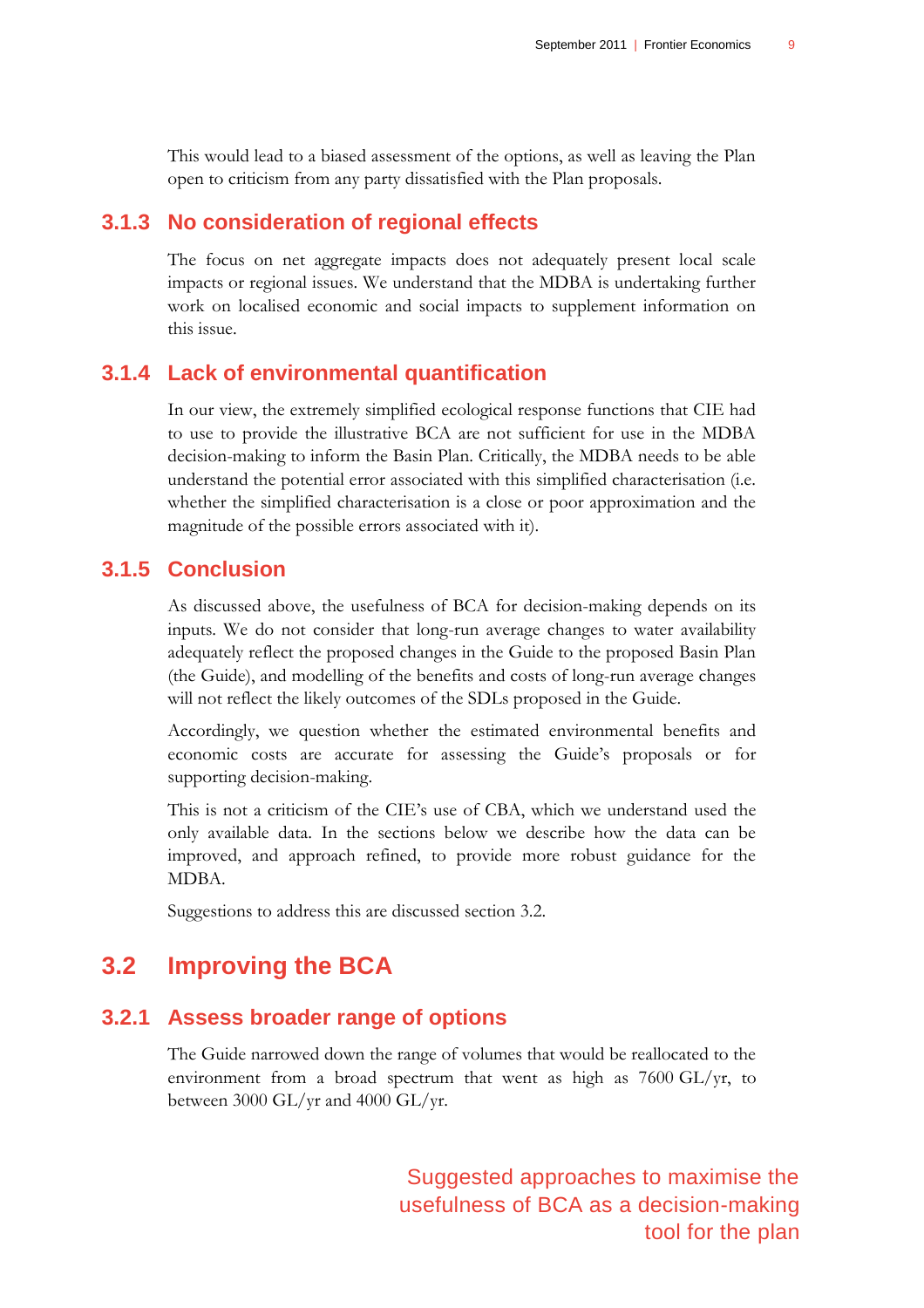This would lead to a biased assessment of the options, as well as leaving the Plan open to criticism from any party dissatisfied with the Plan proposals.

### **3.1.3 No consideration of regional effects**

The focus on net aggregate impacts does not adequately present local scale impacts or regional issues. We understand that the MDBA is undertaking further work on localised economic and social impacts to supplement information on this issue.

## **3.1.4 Lack of environmental quantification**

In our view, the extremely simplified ecological response functions that CIE had to use to provide the illustrative BCA are not sufficient for use in the MDBA decision-making to inform the Basin Plan. Critically, the MDBA needs to be able understand the potential error associated with this simplified characterisation (i.e. whether the simplified characterisation is a close or poor approximation and the magnitude of the possible errors associated with it).

## **3.1.5 Conclusion**

As discussed above, the usefulness of BCA for decision-making depends on its inputs. We do not consider that long-run average changes to water availability adequately reflect the proposed changes in the Guide to the proposed Basin Plan (the Guide), and modelling of the benefits and costs of long-run average changes will not reflect the likely outcomes of the SDLs proposed in the Guide.

Accordingly, we question whether the estimated environmental benefits and economic costs are accurate for assessing the Guide"s proposals or for supporting decision-making.

This is not a criticism of the CIE"s use of CBA, which we understand used the only available data. In the sections below we describe how the data can be improved, and approach refined, to provide more robust guidance for the MDBA.

<span id="page-12-0"></span>Suggestions to address this are discussed section [3.2.](#page-12-0)

## **3.2 Improving the BCA**

## **3.2.1 Assess broader range of options**

The Guide narrowed down the range of volumes that would be reallocated to the environment from a broad spectrum that went as high as 7600 GL/yr, to between 3000 GL/yr and 4000 GL/yr.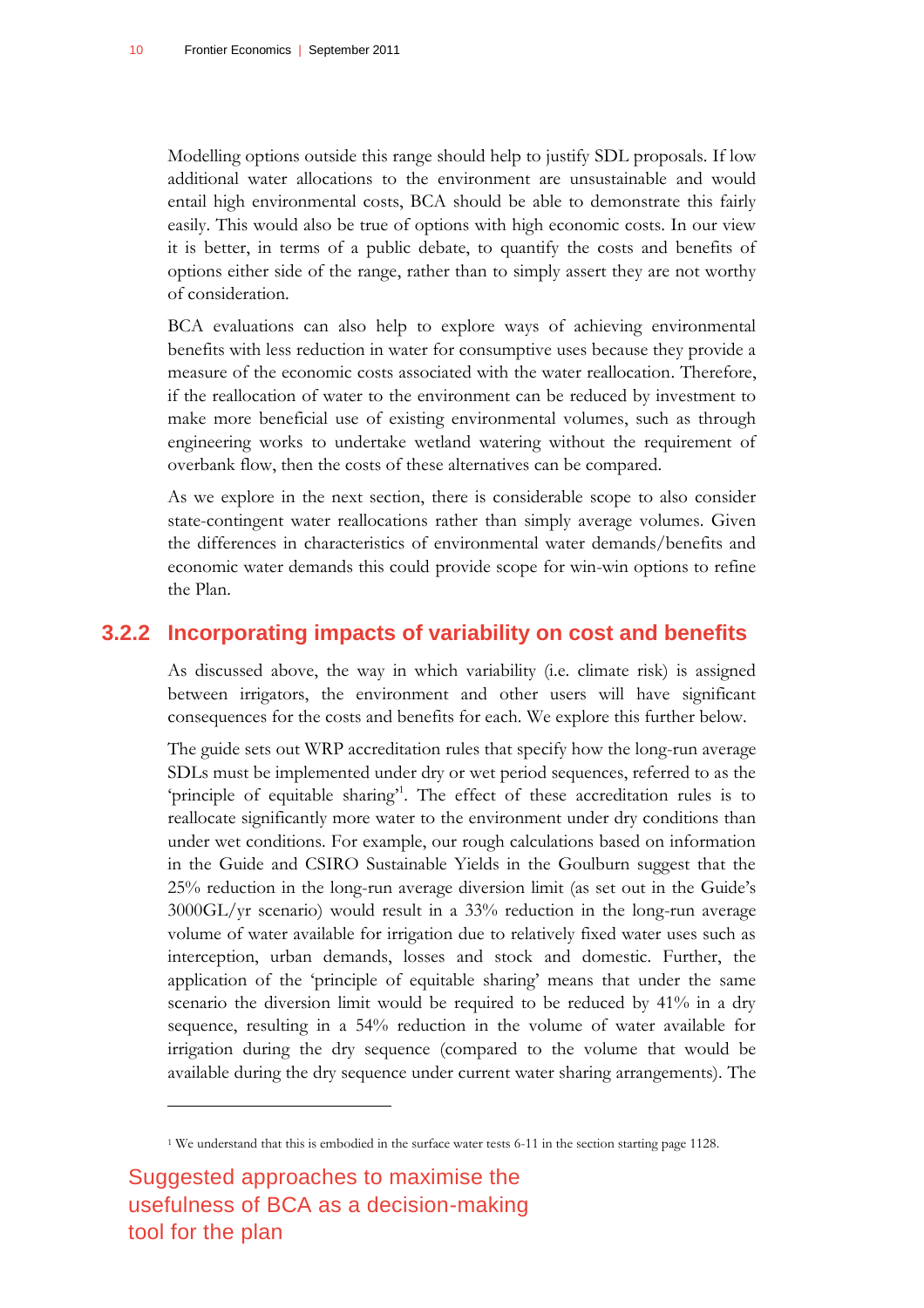Modelling options outside this range should help to justify SDL proposals. If low additional water allocations to the environment are unsustainable and would entail high environmental costs, BCA should be able to demonstrate this fairly easily. This would also be true of options with high economic costs. In our view it is better, in terms of a public debate, to quantify the costs and benefits of options either side of the range, rather than to simply assert they are not worthy of consideration.

BCA evaluations can also help to explore ways of achieving environmental benefits with less reduction in water for consumptive uses because they provide a measure of the economic costs associated with the water reallocation. Therefore, if the reallocation of water to the environment can be reduced by investment to make more beneficial use of existing environmental volumes, such as through engineering works to undertake wetland watering without the requirement of overbank flow, then the costs of these alternatives can be compared.

As we explore in the next section, there is considerable scope to also consider state-contingent water reallocations rather than simply average volumes. Given the differences in characteristics of environmental water demands/benefits and economic water demands this could provide scope for win-win options to refine the Plan.

#### **3.2.2 Incorporating impacts of variability on cost and benefits**

As discussed above, the way in which variability (i.e. climate risk) is assigned between irrigators, the environment and other users will have significant consequences for the costs and benefits for each. We explore this further below.

The guide sets out WRP accreditation rules that specify how the long-run average SDLs must be implemented under dry or wet period sequences, referred to as the 'principle of equitable sharing'<sup>1</sup>. The effect of these accreditation rules is to reallocate significantly more water to the environment under dry conditions than under wet conditions. For example, our rough calculations based on information in the Guide and CSIRO Sustainable Yields in the Goulburn suggest that the 25% reduction in the long-run average diversion limit (as set out in the Guide"s 3000GL/yr scenario) would result in a 33% reduction in the long-run average volume of water available for irrigation due to relatively fixed water uses such as interception, urban demands, losses and stock and domestic. Further, the application of the "principle of equitable sharing" means that under the same scenario the diversion limit would be required to be reduced by 41% in a dry sequence, resulting in a 54% reduction in the volume of water available for irrigation during the dry sequence (compared to the volume that would be available during the dry sequence under current water sharing arrangements). The

Suggested approaches to maximise the usefulness of BCA as a decision-making tool for the plan

 $\overline{a}$ 

<sup>1</sup> We understand that this is embodied in the surface water tests 6-11 in the section starting page 1128.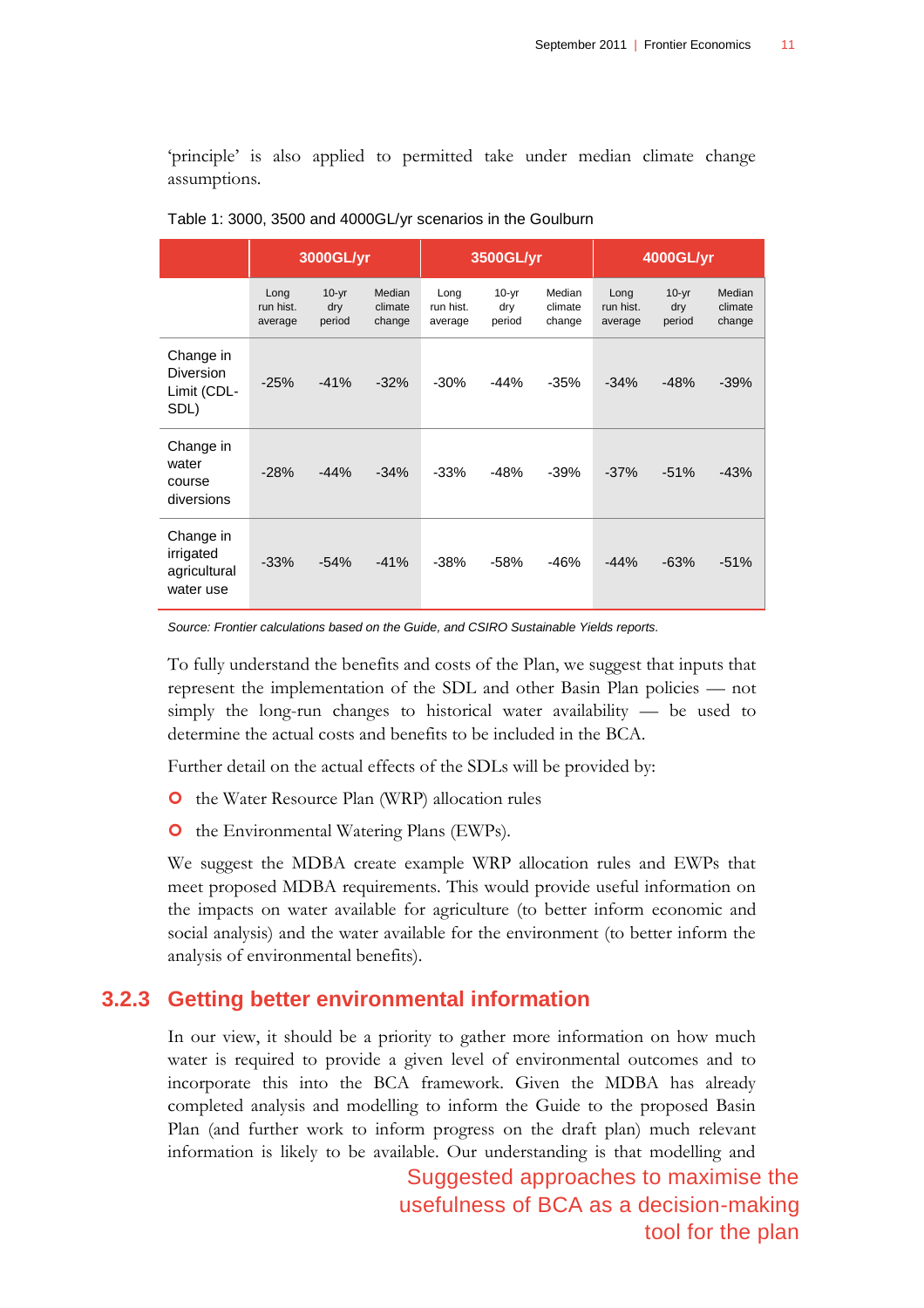"principle" is also applied to permitted take under median climate change assumptions.

|                                                     | 3000GL/yr                    |                          |                             | 3500GL/yr                    |                          |                             | 4000GL/yr                    |                          |                             |
|-----------------------------------------------------|------------------------------|--------------------------|-----------------------------|------------------------------|--------------------------|-----------------------------|------------------------------|--------------------------|-----------------------------|
|                                                     | Long<br>run hist.<br>average | $10-yr$<br>dry<br>period | Median<br>climate<br>change | Long<br>run hist.<br>average | $10-yr$<br>dry<br>period | Median<br>climate<br>change | Long<br>run hist.<br>average | $10-yr$<br>dry<br>period | Median<br>climate<br>change |
| Change in<br>Diversion<br>Limit (CDL-<br>SDL)       | $-25%$                       | $-41%$                   | $-32%$                      | $-30%$                       | $-44%$                   | $-35%$                      | $-34%$                       | $-48%$                   | $-39%$                      |
| Change in<br>water<br>course<br>diversions          | $-28%$                       | $-44%$                   | $-34%$                      | $-33%$                       | $-48%$                   | $-39%$                      | $-37%$                       | $-51%$                   | $-43%$                      |
| Change in<br>irrigated<br>agricultural<br>water use | $-33%$                       | $-54%$                   | $-41%$                      | $-38%$                       | $-58%$                   | $-46%$                      | $-44%$                       | $-63%$                   | $-51%$                      |

<span id="page-14-0"></span>

| Table 1: 3000, 3500 and 4000GL/yr scenarios in the Goulburn |  |  |  |
|-------------------------------------------------------------|--|--|--|
|-------------------------------------------------------------|--|--|--|

*Source: Frontier calculations based on the Guide, and CSIRO Sustainable Yields reports.*

To fully understand the benefits and costs of the Plan, we suggest that inputs that represent the implementation of the SDL and other Basin Plan policies — not simply the long-run changes to historical water availability — be used to determine the actual costs and benefits to be included in the BCA.

Further detail on the actual effects of the SDLs will be provided by:

- **O** the Water Resource Plan (WRP) allocation rules
- **O** the Environmental Watering Plans (EWPs).

We suggest the MDBA create example WRP allocation rules and EWPs that meet proposed MDBA requirements. This would provide useful information on the impacts on water available for agriculture (to better inform economic and social analysis) and the water available for the environment (to better inform the analysis of environmental benefits).

#### **3.2.3 Getting better environmental information**

In our view, it should be a priority to gather more information on how much water is required to provide a given level of environmental outcomes and to incorporate this into the BCA framework. Given the MDBA has already completed analysis and modelling to inform the Guide to the proposed Basin Plan (and further work to inform progress on the draft plan) much relevant information is likely to be available. Our understanding is that modelling and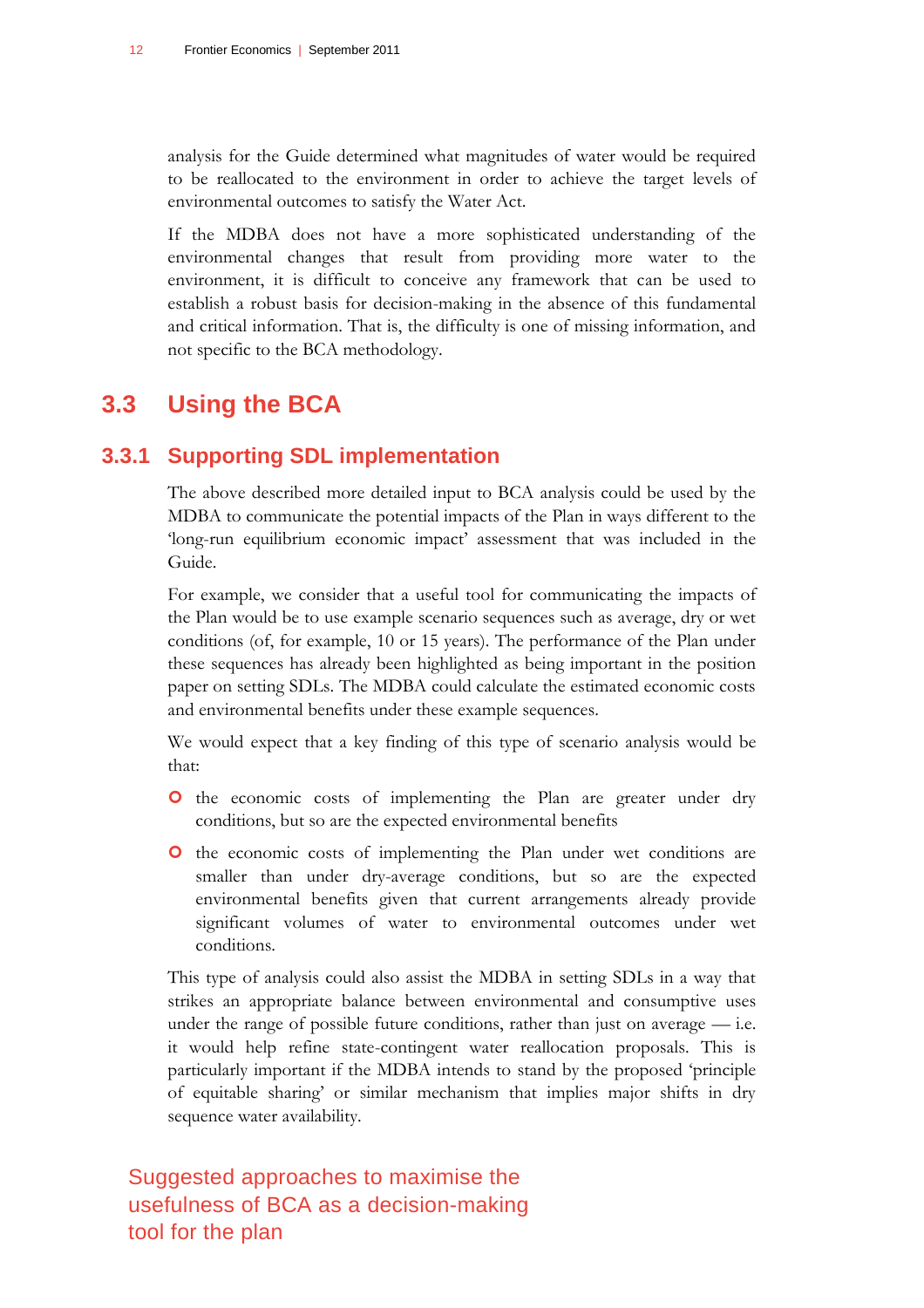analysis for the Guide determined what magnitudes of water would be required to be reallocated to the environment in order to achieve the target levels of environmental outcomes to satisfy the Water Act.

If the MDBA does not have a more sophisticated understanding of the environmental changes that result from providing more water to the environment, it is difficult to conceive any framework that can be used to establish a robust basis for decision-making in the absence of this fundamental and critical information. That is, the difficulty is one of missing information, and not specific to the BCA methodology.

## <span id="page-15-0"></span>**3.3 Using the BCA**

## **3.3.1 Supporting SDL implementation**

The above described more detailed input to BCA analysis could be used by the MDBA to communicate the potential impacts of the Plan in ways different to the 'long-run equilibrium economic impact' assessment that was included in the Guide.

For example, we consider that a useful tool for communicating the impacts of the Plan would be to use example scenario sequences such as average, dry or wet conditions (of, for example, 10 or 15 years). The performance of the Plan under these sequences has already been highlighted as being important in the position paper on setting SDLs. The MDBA could calculate the estimated economic costs and environmental benefits under these example sequences.

We would expect that a key finding of this type of scenario analysis would be that:

- **O** the economic costs of implementing the Plan are greater under dry conditions, but so are the expected environmental benefits
- **O** the economic costs of implementing the Plan under wet conditions are smaller than under dry-average conditions, but so are the expected environmental benefits given that current arrangements already provide significant volumes of water to environmental outcomes under wet conditions.

This type of analysis could also assist the MDBA in setting SDLs in a way that strikes an appropriate balance between environmental and consumptive uses under the range of possible future conditions, rather than just on average  $-$  i.e. it would help refine state-contingent water reallocation proposals. This is particularly important if the MDBA intends to stand by the proposed "principle of equitable sharing" or similar mechanism that implies major shifts in dry sequence water availability.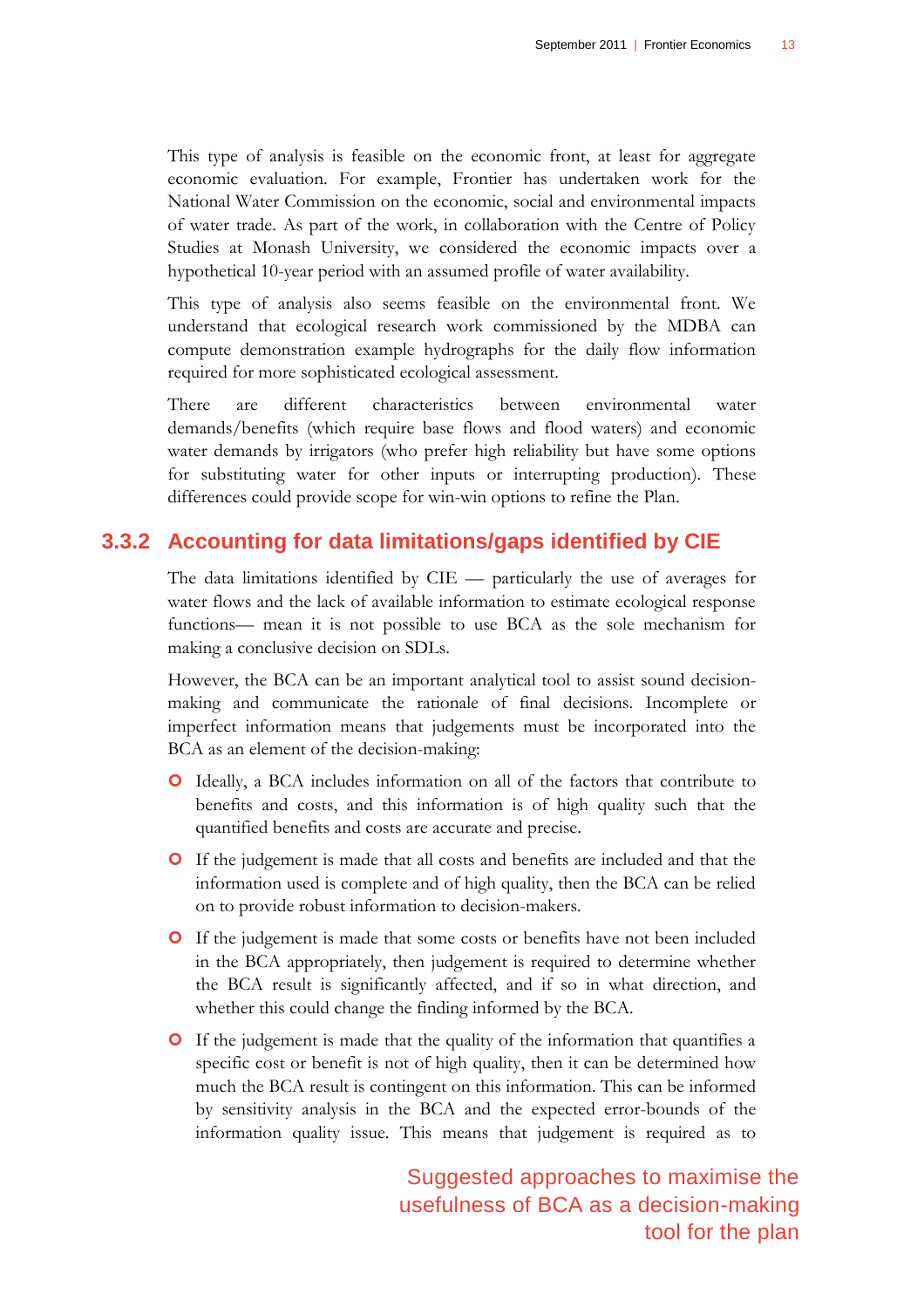This type of analysis is feasible on the economic front, at least for aggregate economic evaluation. For example, Frontier has undertaken work for the National Water Commission on the economic, social and environmental impacts of water trade. As part of the work, in collaboration with the Centre of Policy Studies at Monash University, we considered the economic impacts over a hypothetical 10-year period with an assumed profile of water availability.

This type of analysis also seems feasible on the environmental front. We understand that ecological research work commissioned by the MDBA can compute demonstration example hydrographs for the daily flow information required for more sophisticated ecological assessment.

There are different characteristics between environmental water demands/benefits (which require base flows and flood waters) and economic water demands by irrigators (who prefer high reliability but have some options for substituting water for other inputs or interrupting production). These differences could provide scope for win-win options to refine the Plan.

### **3.3.2 Accounting for data limitations/gaps identified by CIE**

The data limitations identified by CIE — particularly the use of averages for water flows and the lack of available information to estimate ecological response functions— mean it is not possible to use BCA as the sole mechanism for making a conclusive decision on SDLs.

However, the BCA can be an important analytical tool to assist sound decisionmaking and communicate the rationale of final decisions. Incomplete or imperfect information means that judgements must be incorporated into the BCA as an element of the decision-making:

- Ideally, a BCA includes information on all of the factors that contribute to benefits and costs, and this information is of high quality such that the quantified benefits and costs are accurate and precise.
- If the judgement is made that all costs and benefits are included and that the information used is complete and of high quality, then the BCA can be relied on to provide robust information to decision-makers.
- If the judgement is made that some costs or benefits have not been included in the BCA appropriately, then judgement is required to determine whether the BCA result is significantly affected, and if so in what direction, and whether this could change the finding informed by the BCA.
- If the judgement is made that the quality of the information that quantifies a specific cost or benefit is not of high quality, then it can be determined how much the BCA result is contingent on this information. This can be informed by sensitivity analysis in the BCA and the expected error-bounds of the information quality issue. This means that judgement is required as to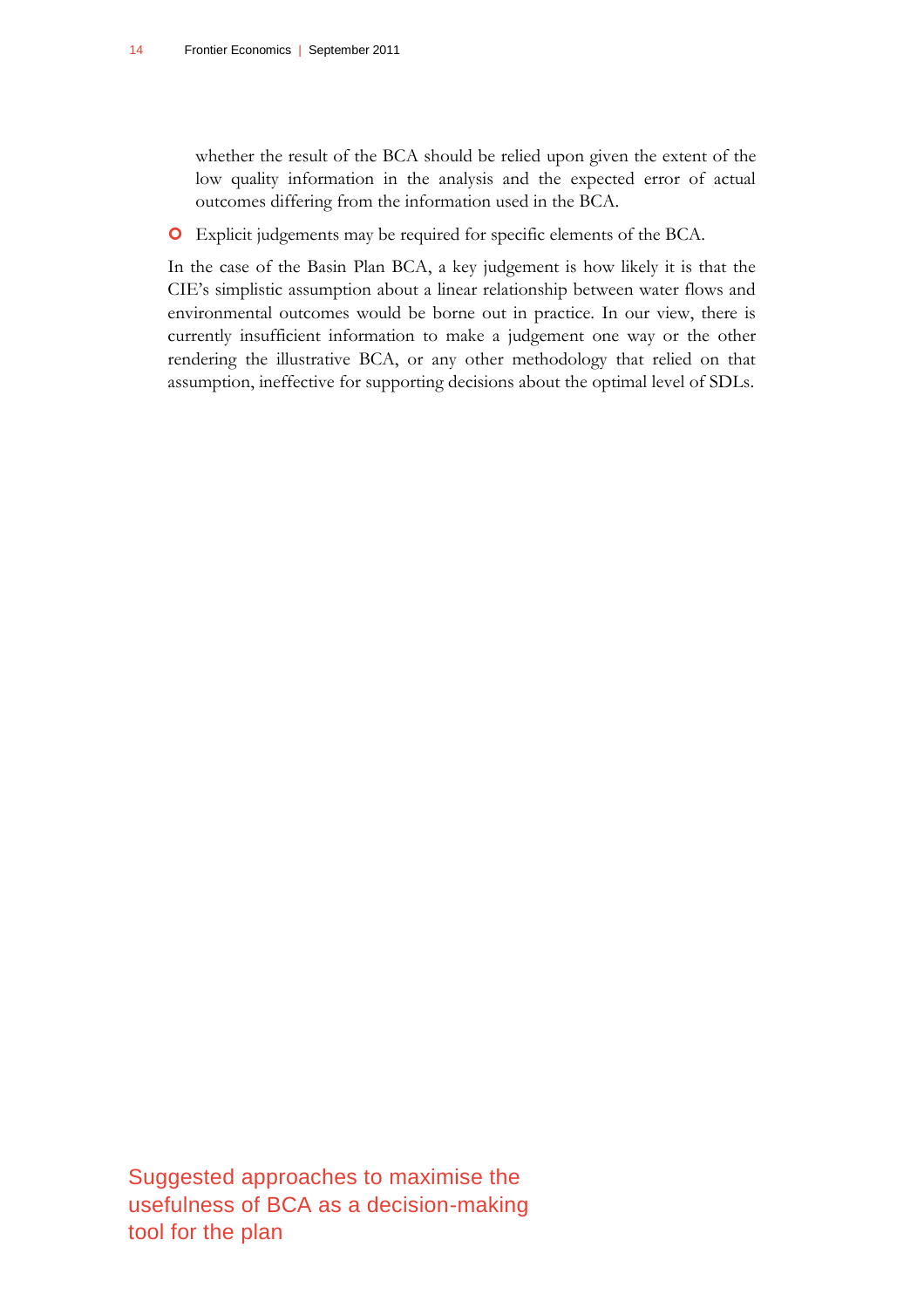whether the result of the BCA should be relied upon given the extent of the low quality information in the analysis and the expected error of actual outcomes differing from the information used in the BCA.

Explicit judgements may be required for specific elements of the BCA.

In the case of the Basin Plan BCA, a key judgement is how likely it is that the CIE"s simplistic assumption about a linear relationship between water flows and environmental outcomes would be borne out in practice. In our view, there is currently insufficient information to make a judgement one way or the other rendering the illustrative BCA, or any other methodology that relied on that assumption, ineffective for supporting decisions about the optimal level of SDLs.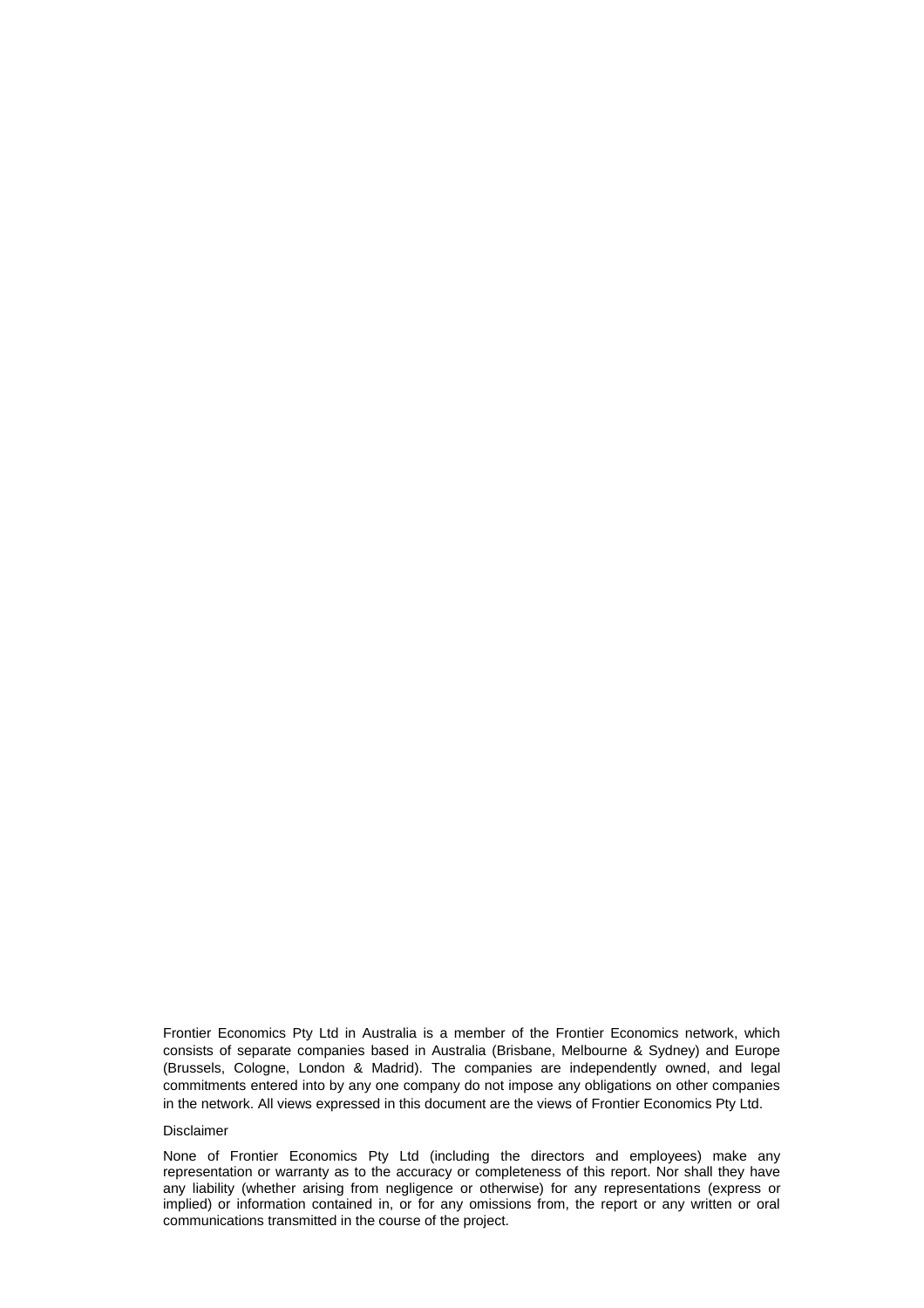Frontier Economics Pty Ltd in Australia is a member of the Frontier Economics network, which consists of separate companies based in Australia (Brisbane, Melbourne & Sydney) and Europe (Brussels, Cologne, London & Madrid). The companies are independently owned, and legal commitments entered into by any one company do not impose any obligations on other companies in the network. All views expressed in this document are the views of Frontier Economics Pty Ltd.

#### Disclaimer

None of Frontier Economics Pty Ltd (including the directors and employees) make any representation or warranty as to the accuracy or completeness of this report. Nor shall they have any liability (whether arising from negligence or otherwise) for any representations (express or implied) or information contained in, or for any omissions from, the report or any written or oral communications transmitted in the course of the project.